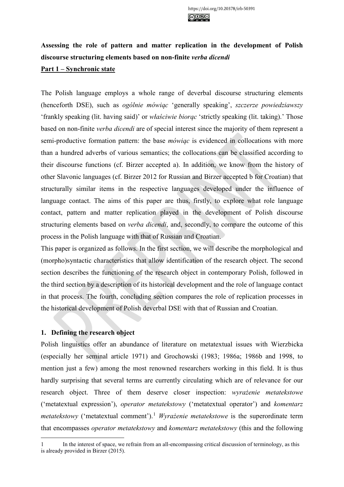# **Assessing the role of pattern and matter replication in the development of Polish discourse structuring elements based on non-finite** *verba dicendi* **Part 1 – Synchronic state**

The Polish language employs a whole range of deverbal discourse structuring elements (henceforth DSE), such as *ogólnie mówiąc* 'generally speaking', *szczerze powiedziawszy* 'frankly speaking (lit. having said)' or *właściwie biorąc* 'strictly speaking (lit. taking).' Those based on non-finite *verba dicendi* are of special interest since the majority of them represent a semi-productive formation pattern: the base *mówiąc* is evidenced in collocations with more than a hundred adverbs of various semantics; the collocations can be classified according to their discourse functions (cf. Birzer accepted a). In addition, we know from the history of other Slavonic languages (cf. Birzer 2012 for Russian and Birzer accepted b for Croatian) that structurally similar items in the respective languages developed under the influence of language contact. The aims of this paper are thus, firstly, to explore what role language contact, pattern and matter replication played in the development of Polish discourse structuring elements based on *verba dicendi*, and, secondly, to compare the outcome of this process in the Polish language with that of Russian and Croatian.

This paper is organized as follows. In the first section, we will describe the morphological and (morpho)syntactic characteristics that allow identification of the research object. The second section describes the functioning of the research object in contemporary Polish, followed in the third section by a description of its historical development and the role of language contact in that process. The fourth, concluding section compares the role of replication processes in the historical development of Polish deverbal DSE with that of Russian and Croatian.

# **1. Defining the research object**

Polish linguistics offer an abundance of literature on metatextual issues with Wierzbicka (especially her seminal article 1971) and Grochowski (1983; 1986a; 1986b and 1998, to mention just a few) among the most renowned researchers working in this field. It is thus hardly surprising that several terms are currently circulating which are of relevance for our research object. Three of them deserve closer inspection: *wyrażenie metatekstowe* ('metatextual expression'), *operator metatekstowy* ('metatextual operator') and *komentarz metatekstowy* ('metatextual comment').<sup>[1](#page-0-0)</sup> *Wyrażenie metatekstowe* is the superordinate term that encompasses *operator metatekstowy* and *komentarz metatekstowy* (this and the following

<span id="page-0-0"></span><sup>1</sup> In the interest of space, we refrain from an all-encompassing critical discussion of terminology, as this is already provided in Birzer (2015).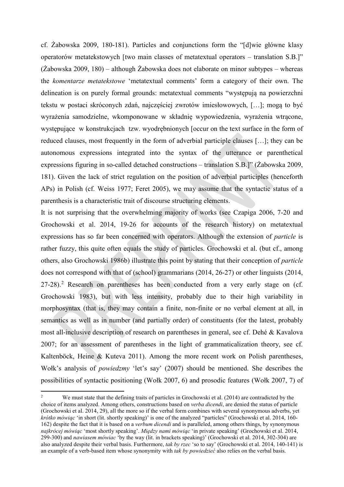cf. Żabowska 2009, 180-181). Particles and conjunctions form the "[d]wie główne klasy operatorów metatekstowych [two main classes of metatextual operators – translation S.B.]" (Żabowska 2009, 180) – although Żabowska does not elaborate on minor subtypes – whereas the *komentarze metatekstowe* 'metatextual comments' form a category of their own. The delineation is on purely formal grounds: metatextual comments "występują na powierzchni tekstu w postaci skróconych zdań, najczęściej zwrotów imiesłowowych, […]; mogą to być wyrażenia samodzielne, wkomponowane w składnię wypowiedzenia, wyrażenia wtrącone, występujące w konstrukcjach tzw. wyodrębnionych [occur on the text surface in the form of reduced clauses, most frequently in the form of adverbial participle clauses […]; they can be autonomous expressions integrated into the syntax of the utterance or parenthetical expressions figuring in so-called detached constructions – translation S.B.]" (Żabowska 2009, 181). Given the lack of strict regulation on the position of adverbial participles (henceforth APs) in Polish (cf. Weiss 1977; Feret 2005), we may assume that the syntactic status of a parenthesis is a characteristic trait of discourse structuring elements.

It is not surprising that the overwhelming majority of works (see Czapiga 2006, 7-20 and Grochowski et al. 2014, 19-26 for accounts of the research history) on metatextual expressions has so far been concerned with operators. Although the extension of *particle* is rather fuzzy, this quite often equals the study of particles. Grochowski et al. (but cf., among others, also Grochowski 1986b) illustrate this point by stating that their conception of *particle* does not correspond with that of (school) grammarians (2014, 26-27) or other linguists (2014,  $27-28$  $27-28$ ).<sup>2</sup> Research on parentheses has been conducted from a very early stage on (cf. Grochowski 1983), but with less intensity, probably due to their high variability in morphosyntax (that is, they may contain a finite, non-finite or no verbal element at all, in semantics as well as in number (and partially order) of constituents (for the latest, probably most all-inclusive description of research on parentheses in general, see cf. Dehé & Kavalova 2007; for an assessment of parentheses in the light of grammaticalization theory, see cf. Kaltenböck, Heine & Kuteva 2011). Among the more recent work on Polish parentheses, Wołk's analysis of *powiedzmy* 'let's say' (2007) should be mentioned. She describes the possibilities of syntactic positioning (Wołk 2007, 6) and prosodic features (Wołk 2007, 7) of

<span id="page-1-0"></span>We must state that the defining traits of particles in Grochowski et al. (2014) are contradicted by the choice of items analyzed. Among others, constructions based on *verba dicendi*, are denied the status of particle (Grochowski et al. 2014, 29), all the more so if the verbal form combines with several synonymous adverbs, yet *krótko mówiąc* 'in short (lit. shortly speaking)' is one of the analyzed "particles" (Grochowski et al. 2014, 160- 162) despite the fact that it is based on a *verbum dicendi* and is paralleled, among others things, by synonymous *najkrócej mówiąc* 'most shortly speaking'. *Między nami mówiąc* 'in private speaking' (Grochowski et al. 2014, 299-300) and *nawiasem mówiac* 'by the way (lit. in brackets speaking)' (Grochowski et al. 2014, 302-304) are also analyzed despite their verbal basis. Furthermore, *tak by rzec* 'so to say' (Grochowski et al. 2014, 140-141) is an example of a verb-based item whose synonymity with *tak by powiedzieć* also relies on the verbal basis.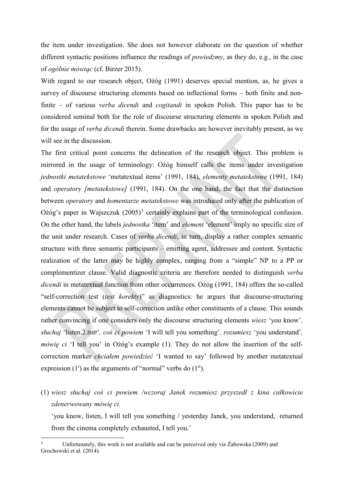the item under investigation. She does not however elaborate on the question of whether different syntactic positions influence the readings of *powiedzmy*, as they do, e.g., in the case of *ogólnie mówiąc* (cf. Birzer 2015).

With regard to our research object, Ożóg (1991) deserves special mention, as, he gives a survey of discourse structuring elements based on inflectional forms – both finite and nonfinite – of various *verba dicendi* and *cogitandi* in spoken Polish. This paper has to be considered seminal both for the role of discourse structuring elements in spoken Polish and for the usage of *verba dicendi* therein. Some drawbacks are however inevitably present, as we will see in the discussion.

The first critical point concerns the delineation of the research object. This problem is mirrored in the usage of terminology: Ożóg himself calls the items under investigation *jednostki metatekstowe* 'metatextual items' (1991, 184), *elementy metatekstowe* (1991, 184) and *operatory [metatekstowe]* (1991, 184). On the one hand, the fact that the distinction between *operatory* and *komentarze metatekstowe* was introduced only after the publication of Ożóg's paper in Wajszczuk  $(2005)^3$  $(2005)^3$  certainly explains part of the terminological confusion. On the other hand, the labels *jednostka* 'item' and *element* 'element' imply no specific size of the unit under research. Cases of *verba dicendi*, in turn, display a rather complex semantic structure with three semantic participants – emitting agent, addressee and content. Syntactic realization of the latter may be highly complex, ranging from a "simple" NP to a PP or complementizer clause. Valid diagnostic criteria are therefore needed to distinguish *verba dicendi* in metatextual function from other occurrences. Ożóg (1991, 184) offers the so-called "self-correction test (*test korekty*)" as diagnostics: he argues that discourse-structuring elements cannot be subject to self-correction unlike other constituents of a clause. This sounds rather convincing if one considers only the discourse structuring elements *wiesz* 'you know'*, słuchaj* 'listen.2.IMP'*, coś ci powiem* 'I will tell you something'*, rozumiesz* 'you understand'*, mówię ci* 'I tell you' in Ożóg's example (1). They do not allow the insertion of the selfcorrection marker *chciałem powiedzieć* 'I wanted to say' followed by another metatextual expression  $(1^i)$  as the arguments of "normal" verbs do  $(1^{ii})$ .

(1) *wiesz słuchaj coś ci powiem /wczoraj Janek rozumiesz przyszedł z kina całkowicie zdenerwowany mówię ci.*

'you know, listen, I will tell you something / yesterday Janek, you understand, returned from the cinema completely exhausted, I tell you.'

<span id="page-2-0"></span><sup>&</sup>lt;sup>3</sup> Unfortunately, this work is not available and can be perceived only via Żabowska (2009) and Grochowski et al. (2014).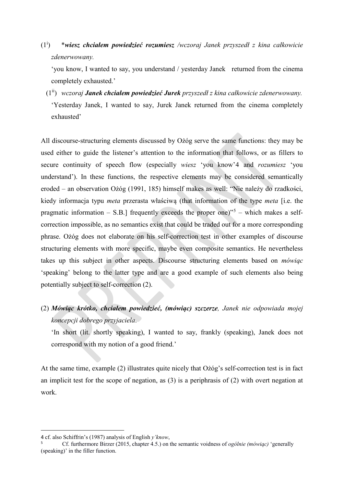$(1^{i})$ ) \**wiesz chciałem powiedzieć rozumiesz /wczoraj Janek przyszedł z kina całkowicie zdenerwowany.*

'you know, I wanted to say, you understand / yesterday Janek returned from the cinema completely exhausted.'

 (1ii) *wczoraj Janek chciałem powiedzieć Jurek przyszedł z kina całkowicie zdenerwowany.* 'Yesterday Janek, I wanted to say, Jurek Janek returned from the cinema completely exhausted'

All discourse-structuring elements discussed by Ożóg serve the same functions: they may be used either to guide the listener's attention to the information that follows, or as fillers to secure continuity of speech flow (especially *wiesz* 'you know'[4](#page-3-0) and *rozumiesz* 'you understand'). In these functions, the respective elements may be considered semantically eroded – an observation Ożóg (1991, 185) himself makes as well: "Nie należy do rzadkości, kiedy informacja typu *meta* przerasta właściwą (that information of the type *meta* [i.e. the pragmatic information  $-$  S.B.] frequently exceeds the proper one)"<sup>[5](#page-3-1)</sup>  $-$  which makes a selfcorrection impossible, as no semantics exist that could be traded out for a more corresponding phrase. Ożóg does not elaborate on his self-correction test in other examples of discourse structuring elements with more specific, maybe even composite semantics. He nevertheless takes up this subject in other aspects. Discourse structuring elements based on *mówiąc* 'speaking' belong to the latter type and are a good example of such elements also being potentially subject to self-correction (2).

(2) *Mówiąc krótko, chciałem powiedzieć, (mówiąc) szczerze, Janek nie odpowiada mojej koncepcji dobrego przyjaciela*.

'In short (lit. shortly speaking), I wanted to say, frankly (speaking), Janek does not correspond with my notion of a good friend.'

At the same time, example (2) illustrates quite nicely that Ożóg's self-correction test is in fact an implicit test for the scope of negation, as (3) is a periphrasis of (2) with overt negation at work.

<span id="page-3-0"></span><sup>4</sup> cf. also Schiffrin's (1987) analysis of English *y'know*,

<span id="page-3-1"></span><sup>5</sup>Cf. furthermore Birzer (2015, chapter 4.5.) on the semantic voidness of *ogólnie (mówiąc)* 'generally (speaking)' in the filler function.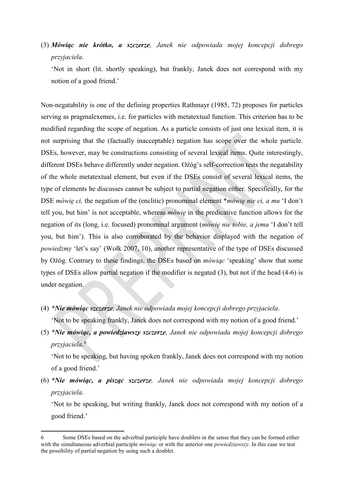(3) *Mówiąc nie krótko, a szczerze, Janek nie odpowiada mojej koncepcji dobrego przyjaciela*.

'Not in short (lit. shortly speaking), but frankly, Janek does not correspond with my notion of a good friend.'

Non-negatability is one of the defining properties Rathmayr (1985, 72) proposes for particles serving as pragmalexemes, i.e. for particles with metatextual function. This criterion has to be modified regarding the scope of negation. As a particle consists of just one lexical item, it is not surprising that the (factually inacceptable) negation has scope over the whole particle. DSEs, however, may be constructions consisting of several lexical items. Quite interestingly, different DSEs behave differently under negation. Ożóg's self-correction tests the negatability of the whole metatextual element, but even if the DSEs consist of several lexical items, the type of elements he discusses cannot be subject to partial negation either. Specifically, for the DSE *mówię ci,* the negation of the (enclitic) pronominal element \**mówię nie ci, a mu* 'I don't tell you, but him' is not acceptable, whereas *mówię* in the predicative function allows for the negation of its (long, i.e. focused) pronominal argument (*mówię nie tobie, a jemu* 'I don't tell you, but him'). This is also corroborated by the behavior displayed with the negation of *powiedzmy* 'let's say' (Wołk 2007, 10), another representative of the type of DSEs discussed by Ożóg. Contrary to these findings, the DSEs based on *mówiąc* 'speaking' show that some types of DSEs allow partial negation if the modifier is negated (3), but not if the head (4-6) is under negation.

- (4) *\*Nie mówiąc szczerze, Janek nie odpowiada mojej koncepcji dobrego przyjaciela*. 'Not to be speaking frankly, Janek does not correspond with my notion of a good friend.'
- (5) *\*Nie mówiąc, a powiedziawszy szczerze, Janek nie odpowiada mojej koncepcji dobrego przyjaciela*. [6](#page-4-0)

'Not to be speaking, but having spoken frankly, Janek does not correspond with my notion of a good friend.'

(6) *\*Nie mówiąc, a pisząc szczerze, Janek nie odpowiada mojej koncepcji dobrego przyjaciela*.

'Not to be speaking, but writing frankly, Janek does not correspond with my notion of a good friend.'

<span id="page-4-0"></span><sup>6</sup> Some DSEs based on the adverbial participle have doublets in the sense that they can be formed either with the simultaneous adverbial participle *mówiąc* or with the anterior one *powiedziawszy*. In this case we test the possibility of partial negation by using such a doublet.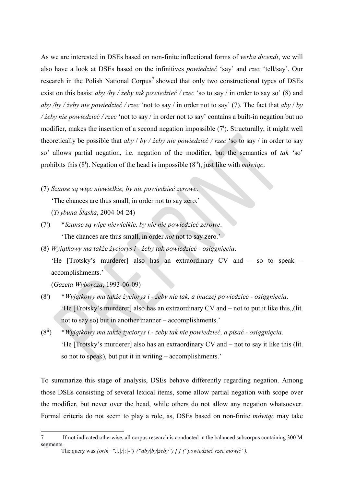As we are interested in DSEs based on non-finite inflectional forms of *verba dicendi*, we will also have a look at DSEs based on the infinitives *powiedzieć* 'say' and *rzec* 'tell/say'. Our research in the Polish National Corpus<sup>[7](#page-5-0)</sup> showed that only two constructional types of DSEs exist on this basis: *aby /by / żeby tak powiedzieć / rzec* 'so to say / in order to say so' (8) and *aby /by / żeby nie powiedzieć / rzec* 'not to say / in order not to say' (7). The fact that *aby* / *by / żeby nie powiedzieć / rzec* 'not to say / in order not to say' contains a built-in negation but no modifier, makes the insertion of a second negation impossible  $(7^i)$ . Structurally, it might well theoretically be possible that *aby* / *by / żeby nie powiedzieć / rzec* 'so to say / in order to say so' allows partial negation, i.e. negation of the modifier, but the semantics of *tak* 'so' prohibits this (8<sup>i</sup>). Negation of the head is impossible (8<sup>ii</sup>), just like with *mówiąc*.

(7) *Szanse są więc niewielkie, by nie powiedzieć zerowe*.

'The chances are thus small, in order not to say zero.'

(*Trybuna Śląska*, 2004-04-24)

- $(7^{i})$ ) \**Szanse są więc niewielkie, by nie nie powiedzieć zerowe*. 'The chances are thus small, in order *not* not to say zero.'
- (8) *Wyjątkowy ma także życiorys i żeby tak powiedzieć osiągnięcia*.

'He [Trotsky's murderer] also has an extraordinary CV and – so to speak – accomplishments.'

(*Gazeta Wyborcza*, 1993-06-09)

 $\overline{a}$ 

- $(8^i)$ ) \**Wyjątkowy ma także życiorys i - żeby nie tak, a inaczej powiedzieć - osiągnięcia*. 'He [Trotsky's murderer] also has an extraordinary CV and – not to put it like this,,(lit. not to say so) but in another manner – accomplishments.'
- (8ii) \**Wyjątkowy ma także życiorys i żeby tak nie powiedzieć, a pisać osiągnięcia*. 'He [Trotsky's murderer] also has an extraordinary CV and – not to say it like this (lit. so not to speak), but put it in writing – accomplishments.'

To summarize this stage of analysis, DSEs behave differently regarding negation. Among those DSEs consisting of several lexical items, some allow partial negation with scope over the modifier, but never over the head, while others do not allow any negation whatsoever. Formal criteria do not seem to play a role, as, DSEs based on non-finite *mówiąc* may take

<span id="page-5-0"></span><sup>7</sup> If not indicated otherwise, all corpus research is conducted in the balanced subcorpus containing 300 M segments.

The query was *[orth=",|.|;|:|-"] ("aby|by|żeby") [ ] ("powiedzieć|rzec|mówić").*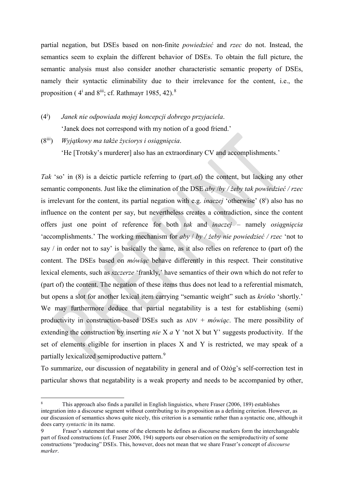partial negation, but DSEs based on non-finite *powiedzieć* and *rzec* do not. Instead, the semantics seem to explain the different behavior of DSEs. To obtain the full picture, the semantic analysis must also consider another characteristic semantic property of DSEs, namely their syntactic eliminability due to their irrelevance for the content, i.e., the proposition ( $4^i$  and  $8^{iii}$  $8^{iii}$ ; cf. Rathmayr 1985, 42).<sup>8</sup>

 $(4^{i})$ ) *Janek nie odpowiada mojej koncepcji dobrego przyjaciela*. 'Janek does not correspond with my notion of a good friend.'

(8iii) *Wyjątkowy ma także życiorys i osiągnięcia*. 'He [Trotsky's murderer] also has an extraordinary CV and accomplishments.'

*Tak* 'so' in (8) is a deictic particle referring to (part of) the content, but lacking any other semantic components. Just like the elimination of the DSE *aby* /*by / żeby tak powiedzieć / rzec* is irrelevant for the content, its partial negation with e.g. *inaczej* 'otherwise' (8<sup>i</sup>) also has no influence on the content per say, but nevertheless creates a contradiction, since the content offers just one point of reference for both *tak* and *inaczej* – namely *osiągnięcia* 'accomplishments.' The working mechanism for *aby* / *by / żeby nie powiedzieć / rzec* 'not to say / in order not to say' is basically the same, as it also relies on reference to (part of) the content. The DSEs based on *mówiąc* behave differently in this respect. Their constitutive lexical elements, such as *szczerze* 'frankly,' have semantics of their own which do not refer to (part of) the content. The negation of these items thus does not lead to a referential mismatch, but opens a slot for another lexical item carrying "semantic weight" such as *krótko* 'shortly.' We may furthermore deduce that partial negatability is a test for establishing (semi) productivity in construction-based DSEs such as ADV + *mówiąc*. The mere possibility of extending the construction by inserting *nie* X *a* Y 'not X but Y' suggests productivity. If the set of elements eligible for insertion in places X and Y is restricted, we may speak of a partially lexicalized semiproductive pattern.<sup>[9](#page-6-1)</sup>

To summarize, our discussion of negatability in general and of Ożóg's self-correction test in particular shows that negatability is a weak property and needs to be accompanied by other,

<span id="page-6-0"></span><sup>8</sup> This approach also finds a parallel in English linguistics, where Fraser (2006, 189) establishes integration into a discourse segment without contributing to its proposition as a defining criterion. However, as our discussion of semantics shows quite nicely, this criterion is a semantic rather than a syntactic one, although it does carry *syntactic* in its name.

<span id="page-6-1"></span><sup>9</sup> Fraser's statement that some of the elements he defines as discourse markers form the interchangeable part of fixed constructions (cf. Fraser 2006, 194) supports our observation on the semiproductivity of some constructions "producing" DSEs. This, however, does not mean that we share Fraser's concept of *discourse marker*.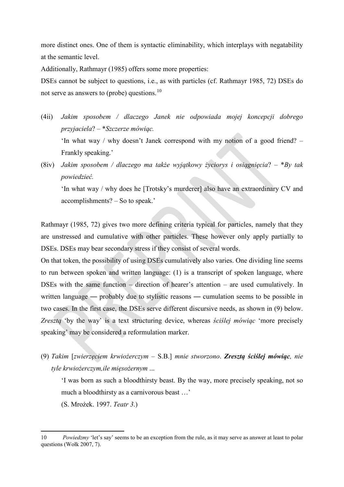more distinct ones. One of them is syntactic eliminability, which interplays with negatability at the semantic level.

Additionally, Rathmayr (1985) offers some more properties:

DSEs cannot be subject to questions, i.e., as with particles (cf. Rathmayr 1985, 72) DSEs do not serve as answers to (probe) questions.[10](#page-7-0)

- (4ii) *Jakim sposobem / dlaczego Janek nie odpowiada mojej koncepcji dobrego przyjaciela*? – \**Szczerze mówiąc.* 'In what way / why doesn't Janek correspond with my notion of a good friend? – Frankly speaking.'
- (8iv) *Jakim sposobem / dlaczego ma także wyjątkowy życiorys i osiągnięcia*? \**By tak powiedzieć.*

'In what way / why does he [Trotsky's murderer] also have an extraordinary CV and accomplishments? – So to speak.'

Rathmayr (1985, 72) gives two more defining criteria typical for particles, namely that they are unstressed and cumulative with other particles. These however only apply partially to DSEs. DSEs may bear secondary stress if they consist of several words.

On that token, the possibility of using DSEs cumulatively also varies. One dividing line seems to run between spoken and written language: (1) is a transcript of spoken language, where DSEs with the same function – direction of hearer's attention – are used cumulatively. In written language — probably due to stylistic reasons — cumulation seems to be possible in two cases. In the first case, the DSEs serve different discursive needs, as shown in (9) below. *Zresztą* 'by the way' is a text structuring device, whereas *ściślej mówiąc* 'more precisely speaking' may be considered a reformulation marker.

(9) *Takim* [*zwierzęciem krwiożerczym* – S.B.] *mnie stworzono*. *Zresztą ściślej mówiąc, nie tyle krwiożerczym,ile mięsożernym* ...

'I was born as such a bloodthirsty beast. By the way, more precisely speaking, not so much a bloodthirsty as a carnivorous beast …'

(S. Mrożek. 1997. *Teatr 3*.)

<span id="page-7-0"></span><sup>10</sup> *Powiedzmy* 'let's say' seems to be an exception from the rule, as it may serve as answer at least to polar questions (Wołk 2007, 7).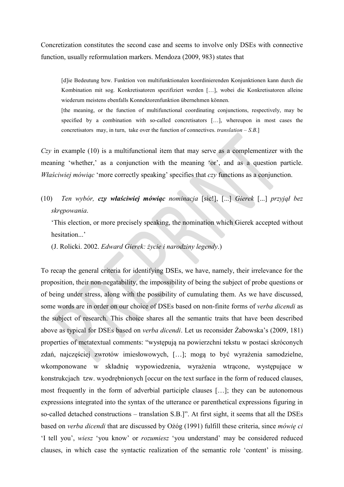Concretization constitutes the second case and seems to involve only DSEs with connective function, usually reformulation markers. Mendoza (2009, 983) states that

[d]ie Bedeutung bzw. Funktion von multifunktionalen koordinierenden Konjunktionen kann durch die Kombination mit sog. Konkretisatoren spezifiziert werden […], wobei die Konkretisatoren alleine wiederum meistens ebenfalls Konnektorenfunktion übernehmen können.

[the meaning, or the function of multifunctional coordinating conjunctions, respectively, may be specified by a combination with so-called concretisators […], whereupon in most cases the concretisators may, in turn, take over the function of connectives. *translation*  $-$  *S.B.*]

*Czy* in example (10) is a multifunctional item that may serve as a complementizer with the meaning 'whether,' as a conjunction with the meaning 'or', and as a question particle. *Właściwiej mówiąc* 'more correctly speaking' specifies that *czy* functions as a conjunction.

(10) *Ten wybór, czy właściwiej mówiąc nominacja* [sic!], [...] *Gierek* [...] *przyjął bez skrępowania*.

'This election, or more precisely speaking, the nomination which Gierek accepted without hesitation...'

(J. Rolicki. 2002. *Edward Gierek: życie i narodziny legendy*.)

To recap the general criteria for identifying DSEs, we have, namely, their irrelevance for the proposition, their non-negatability, the impossibility of being the subject of probe questions or of being under stress, along with the possibility of cumulating them. As we have discussed, some words are in order on our choice of DSEs based on non-finite forms of *verba dicendi* as the subject of research. This choice shares all the semantic traits that have been described above as typical for DSEs based on *verba dicendi*. Let us reconsider Żabowska's (2009, 181) properties of metatextual comments: "występują na powierzchni tekstu w postaci skróconych zdań, najczęściej zwrotów imiesłowowych, […]; mogą to być wyrażenia samodzielne, wkomponowane w składnię wypowiedzenia, wyrażenia wtrącone, występujące w konstrukcjach tzw. wyodrębnionych [occur on the text surface in the form of reduced clauses, most frequently in the form of adverbial participle clauses […]; they can be autonomous expressions integrated into the syntax of the utterance or parenthetical expressions figuring in so-called detached constructions – translation S.B.]". At first sight, it seems that all the DSEs based on *verba dicendi* that are discussed by Ożóg (1991) fulfill these criteria, since *mówię ci* 'I tell you', *wiesz* 'you know' or *rozumiesz* 'you understand' may be considered reduced clauses, in which case the syntactic realization of the semantic role 'content' is missing.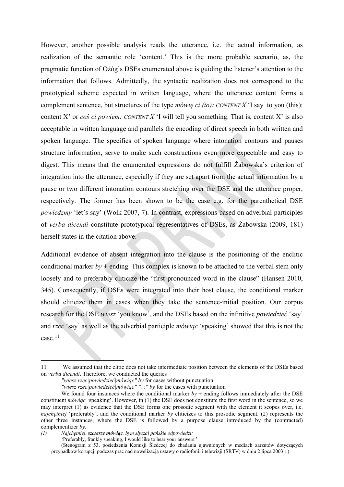However, another possible analysis reads the utterance, i.e. the actual information, as realization of the semantic role 'content.' This is the more probable scenario, as, the pragmatic function of Ożóg's DSEs enumerated above is guiding the listener's attention to the information that follows. Admittedly, the syntactic realization does not correspond to the prototypical scheme expected in written language, where the utterance content forms a complement sentence, but structures of the type *mówię ci (to): CONTENT X* 'I say to you (this): content X' or *coś ci powiem: CONTENT X* 'I will tell you something. That is, content X' is also acceptable in written language and parallels the encoding of direct speech in both written and spoken language. The specifics of spoken language where intonation contours and pauses structure information, serve to make such constructions even more expectable and easy to digest. This means that the enumerated expressions do not fulfill Żabowska's criterion of integration into the utterance, especially if they are set apart from the actual information by a pause or two different intonation contours stretching over the DSE and the utterance proper, respectively. The former has been shown to be the case e.g. for the parenthetical DSE *powiedzmy* 'let's say' (Wołk 2007, 7). In contrast, expressions based on adverbial participles of *verba dicendi* constitute prototypical representatives of DSEs, as Żabowska (2009, 181) herself states in the citation above.

Additional evidence of absent integration into the clause is the positioning of the enclitic conditional marker  $by +$  ending. This complex is known to be attached to the verbal stem only loosely and to preferably cliticize the "first pronounced word in the clause" (Hansen 2010, 345). Consequently, if DSEs were integrated into their host clause, the conditional marker should cliticize them in cases when they take the sentence-initial position. Our corpus research for the DSE *wiesz* 'you know', and the DSEs based on the infinitive *powiedzieć* 'say' and *rzec* 'say' as well as the adverbial participle *mówiąc* 'speaking' showed that this is not the  $case.$ <sup>[11](#page-9-0)</sup>

<span id="page-9-0"></span><sup>11</sup> We assumed that the clitic does not take intermediate position between the elements of the DSEs based on *verba dicendi*. Therefore, we conducted the queries

*<sup>&</sup>quot;wiesz|rzec|powiedzieć|mówiąc" by* for cases without punctuation

*<sup>&</sup>quot;wiesz|rzec|powiedzieć|mówiąc" ",|:" by* for the cases with punctuation

We found four instances where the conditional marker  $by +$  ending follows immediately after the DSE constituent *mówiąc* 'speaking'. However, in (1) the DSE does not constitute the first word in the sentence, so we may interpret (1) as evidence that the DSE forms one prosodic segment with the element it scopes over, i.e. *najchętniej* 'preferably', and the conditional marker *by* cliticizes to this prosodic segment. (2) represents the other three instances, where the DSE is followed by a purpose clause introduced by the (contracted) complementizer *by*.

*<sup>(1)</sup> Najchętniej, szczerze mówiąc, bym słyszał pańskie odpowiedzi:* 

<sup>&#</sup>x27;Preferably, frankly speaking, I would like to hear your answers:'

<sup>(</sup>Stenogram z 53. posiedzenia Komisji Śledczej do zbadania ujawnionych w mediach zarzutów dotyczących przypadków korupcji podczas prac nad nowelizacją ustawy o radiofonii i telewizji (SRTV) w dniu 2 lipca 2003 r.)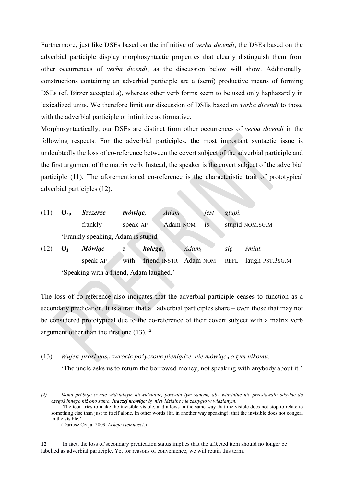Furthermore, just like DSEs based on the infinitive of *verba dicendi*, the DSEs based on the adverbial participle display morphosyntactic properties that clearly distinguish them from other occurrences of *verba dicendi*, as the discussion below will show. Additionally, constructions containing an adverbial participle are a (semi) productive means of forming DSEs (cf. Birzer accepted a), whereas other verb forms seem to be used only haphazardly in lexicalized units. We therefore limit our discussion of DSEs based on *verba dicendi* to those with the adverbial participle or infinitive as formative.

Morphosyntactically, our DSEs are distinct from other occurrences of *verba dicendi* in the following respects. For the adverbial participles, the most important syntactic issue is undoubtedly the loss of co-reference between the covert subject of the adverbial participle and the first argument of the matrix verb. Instead, the speaker is the covert subject of the adverbial participle (11). The aforementioned co-reference is the characteristic trait of prototypical adverbial participles (12).

| (11) | $\boldsymbol{O}_{\text{sp}}$        | <i>Szczerze</i> | <i>mówiąc</i> , | Adam              | jest | głupi.          |  |  |  |
|------|-------------------------------------|-----------------|-----------------|-------------------|------|-----------------|--|--|--|
|      |                                     | frankly         | speak-AP        | Adam-NOM          | 1S   | stupid-NOM.SG.M |  |  |  |
|      | 'Frankly speaking, Adam is stupid.' |                 |                 |                   |      |                 |  |  |  |
| (12) | Øi                                  | <b>Mówiac</b>   | kolegą,         | Adam <sub>i</sub> |      | śmiał.<br>sie   |  |  |  |

speak-AP with friend-INSTR Adam-NOM REFL laugh-PST.3SG.M 'Speaking with a friend, Adam laughed.'

The loss of co-reference also indicates that the adverbial participle ceases to function as a secondary predication. It is a trait that all adverbial participles share – even those that may not be considered prototypical due to the co-reference of their covert subject with a matrix verb argument other than the first one  $(13).<sup>12</sup>$  $(13).<sup>12</sup>$  $(13).<sup>12</sup>$ 

#### (13) *Wujek*<sup>i</sup> *prosi nas*<sup>p</sup> *zwrócić pożyczone pieniądze, nie mówiąc*<sup>p</sup> *o tym nikomu.*

'The uncle asks us to return the borrowed money, not speaking with anybody about it.'

 $\overline{a}$ 

<span id="page-10-0"></span>12 In fact, the loss of secondary predication status implies that the affected item should no longer be labelled as adverbial participle. Yet for reasons of convenience, we will retain this term.

*<sup>(2)</sup> Ikona próbuje czynić widzialnym niewidzialne, pozwala tym samym, aby widzialne nie przestawało odsyłać do czegoś innego niż ono samo. Inaczej mówiąc: by niewidzialne nie zastygło w widzianym*.

<sup>&#</sup>x27;The icon tries to make the invisible visible, and allows in the same way that the visible does not stop to relate to something else than just to itself alone. In other words (lit. in another way speaking): that the invisible does not congeal in the visible.'

<sup>(</sup>Dariusz Czaja. 2009. *Lekcje ciemności*.)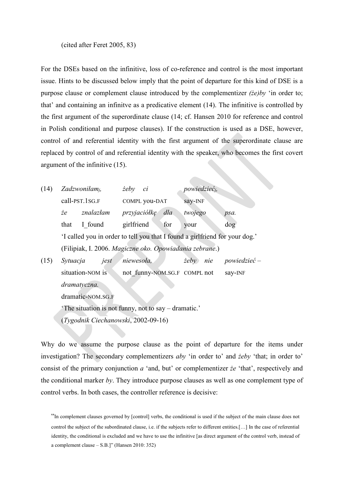#### (cited after Feret 2005, 83)

For the DSEs based on the infinitive, loss of co-reference and control is the most important issue. Hints to be discussed below imply that the point of departure for this kind of DSE is a purpose clause or complement clause introduced by the complementizer *(że)by* 'in order to; that' and containing an infinitve as a predicative element (14). The infinitive is controlled by the first argument of the superordinate clause (14; cf. Hansen 2010 for reference and control in Polish conditional and purpose clauses). If the construction is used as a DSE, however, control of and referential identity with the first argument of the superordinate clause are replaced by control of and referential identity with the speaker, who becomes the first covert argument of the infinitive (15).

| (14) | Zadzwoniłam <sub>i</sub> ,                                                  |                  | $\dot{z}e b y$<br>ci |              | <i>powiedzieć<sub>i</sub></i> , |                              |                     |  |
|------|-----------------------------------------------------------------------------|------------------|----------------------|--------------|---------------------------------|------------------------------|---------------------|--|
|      | call-PST.1SG.F                                                              |                  | COMPL you-DAT        |              | say-INF                         |                              |                     |  |
|      | że                                                                          | znalazłam        |                      | przyjaciółkę | dla                             | twojego                      | psa.                |  |
|      | that                                                                        | I found          | girlfriend           |              | for                             | your                         | $\log$              |  |
|      | 'I called you in order to tell you that I found a girlfriend for your dog.' |                  |                      |              |                                 |                              |                     |  |
|      | (Filipiak, I. 2006. Magiczne oko. Opowiadania zebrane.)                     |                  |                      |              |                                 |                              |                     |  |
| (15) | Sytuacja                                                                    | jest             | niewesoła,           |              |                                 | $\dot{z}e b y$<br>nie        | <i>powiedzieć</i> – |  |
|      |                                                                             | situation-NOM is |                      |              |                                 | not funny-NOM.SG.F COMPL not | say-INF             |  |
|      | dramatyczna.                                                                |                  |                      |              |                                 |                              |                     |  |
|      | dramatic-NOM.SG.F                                                           |                  |                      |              |                                 |                              |                     |  |

'The situation is not funny, not to say – dramatic.'

(*Tygodnik Ciechanowski*, 2002-09-16)

Why do we assume the purpose clause as the point of departure for the items under investigation? The secondary complementizers *aby* 'in order to' and *żeby* 'that; in order to' consist of the primary conjunction *a* 'and, but' or complementizer *że* 'that', respectively and the conditional marker *by*. They introduce purpose clauses as well as one complement type of control verbs. In both cases, the controller reference is decisive:

"In complement clauses governed by [control] verbs, the conditional is used if the subject of the main clause does not control the subject of the subordinated clause, i.e. if the subjects refer to different entities.[…] In the case of referential identity, the conditional is excluded and we have to use the infinitive [as direct argument of the control verb, instead of a complement clause – S.B.]" (Hansen 2010: 352)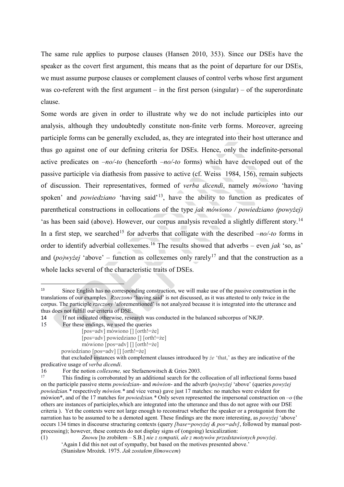The same rule applies to purpose clauses (Hansen 2010, 353). Since our DSEs have the speaker as the covert first argument, this means that as the point of departure for our DSEs, we must assume purpose clauses or complement clauses of control verbs whose first argument was co-referent with the first argument – in the first person (singular) – of the superordinate clause.

Some words are given in order to illustrate why we do not include participles into our analysis, although they undoubtedly constitute non-finite verb forms. Moreover, agreeing participle forms can be generally excluded, as, they are integrated into their host utterance and thus go against one of our defining criteria for DSEs. Hence, only the indefinite-personal active predicates on –*no/-to* (henceforth –*no/-to* forms) which have developed out of the passive participle via diathesis from passive to active (cf. Weiss 1984, 156), remain subjects of discussion. Their representatives, formed of *verba dicendi*, namely *mówiono* 'having spoken' and *powiedziano* 'having said'<sup>[13](#page-12-0)</sup>, have the ability to function as predicates of parenthetical constructions in collocations of the type *jak mówiono / powiedziano (powyżej)* 'as has been said (above). However, our corpus analysis revealed a slightly different story.<sup>[14](#page-12-1)</sup> In a first step, we searched<sup>[15](#page-12-2)</sup> for adverbs that colligate with the described  $-no$ -*to* forms in order to identify adverbial collexemes.[16](#page-12-3) The results showed that adverbs – even *jak* 'so, as' and  $(po)wyzej$  'above' – function as collexemes only rarely<sup>[17](#page-12-4)</sup> and that the construction as a whole lacks several of the characteristic traits of DSEs.

- mówiono [pos=adv] [] [orth!=że]
- powiedziano [pos=adv] [] [orth!=że]

that excluded instances with complement clauses introduced by *że* 'that,' as they are indicative of the predicative usage of *verba dicendi*.<br>16 For the notion *collexeme*, see Stefaenowitsch & Gries 2003.

<span id="page-12-0"></span> $13$ Since English has no corresponding construction, we will make use of the passive construction in the translations of our examples. *Rzeczono* 'having said' is not discussed, as it was attested to only twice in the corpus. The participle *rzeczony* 'aforementioned' is not analyzed because it is integrated into the utterance and thus does not fulfill our criteria of DSE.

<span id="page-12-1"></span><sup>14</sup> If not indicated otherwise, research was conducted in the balanced subcorpus of NKJP.

<span id="page-12-2"></span><sup>15</sup> For these endings, we used the queries

<sup>[</sup>pos=adv] mówiono [] [orth!=że]

<sup>[</sup>pos=adv] powiedziano [] [orth!=że]

<span id="page-12-4"></span><span id="page-12-3"></span><sup>16</sup> For the notion *collexeme*, see Stefaenowitsch & Gries 2003.<br><sup>17</sup> This finding is corroborated by an additional search for the collocation of all inflectional forms based on the participle passive stems *powiedzian*- and *mówion*- and the adverb (*po)wyżej* 'above' (queries *powyżej powiedzian.\** respectively *mówion.\** and vice versa) gave just 17 matches: no matches were evident for mówion\*, and of the 17 matches for *powiedzian.\** Only seven represented the impersonal construction on –*o* (the others are instances of participles,which are integrated into the utterance and thus do not agree with our DSE criteria ). Yet the contexts were not large enough to reconstruct whether the speaker or a protagonist from the narration has to be assumed to be a demoted agent. These findings are the more interesting, as *powyżej* 'above' occurs 134 times in discourse structuring contexts (query *[base=powyżej & pos=adv]*, followed by manual postprocessing); however, these contexts do not display signs of (ongoing) lexicalization:

<sup>(1)</sup> *Znowu* [to zrobiłem – S.B.] *nie z sympatii, ale z motywów przedstawionych powyżej*. 'Again I did this not out of sympathy, but based on the motives presented above.' (Stanisław Mrożek. 1975. *Jak zostałem filmowcem*)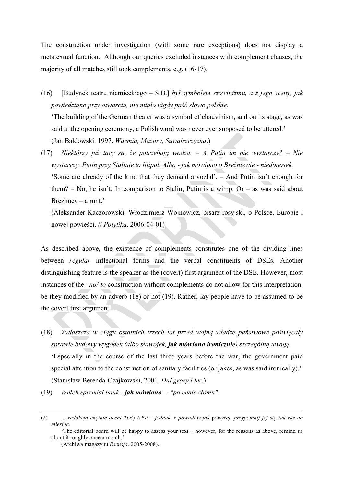The construction under investigation (with some rare exceptions) does not display a metatextual function. Although our queries excluded instances with complement clauses, the majority of all matches still took complements, e.g. (16-17).

(16) [Budynek teatru niemieckiego – S.B.] *był symbolem szowinizmu, a z jego sceny, jak powiedziano przy otwarciu, nie miało nigdy paść słowo polskie.* 'The building of the German theater was a symbol of chauvinism, and on its stage, as was said at the opening ceremony, a Polish word was never ever supposed to be uttered.'

(Jan Bałdowski. 1997. *Warmia, Mazury, Suwalszczyzna*.)

(17) *Niektórzy już tacy są, że potrzebują wodza. – A Putin im nie wystarczy? – Nie wystarczy. Putin przy Stalinie to liliput. Albo - jak mówiono o Breżniewie - niedonosek.* 'Some are already of the kind that they demand a vozhd'. – And Putin isn't enough for

them?  $-$  No, he isn't. In comparison to Stalin, Putin is a wimp. Or  $-$  as was said about Brezhnev – a runt.'

(Aleksander Kaczorowski. Włodzimierz Wojnowicz, pisarz rosyjski, o Polsce, Europie i nowej powieści. // *Polytika*. 2006-04-01)

As described above, the existence of complements constitutes one of the dividing lines between *regular* inflectional forms and the verbal constituents of DSEs. Another distinguishing feature is the speaker as the (covert) first argument of the DSE. However, most instances of the –*no/-to* construction without complements do not allow for this interpretation, be they modified by an adverb (18) or not (19). Rather, lay people have to be assumed to be the covert first argument.

(18) *Zwłaszcza w ciągu ostatnich trzech lat przed wojną władze państwowe poświęcały sprawie budowy wygódek (albo sławojek, jak mówiono ironicznie) szczególną uwagę.*  'Especially in the course of the last three years before the war, the government paid special attention to the construction of sanitary facilities (or jakes, as was said ironically).' (Stanisław Berenda-Czajkowski, 2001. *Dni grozy i łez*.)

(19) *Welch sprzedał bank - jak mówiono – "po cenie złomu"*.

<sup>(2)</sup> ... *redakcja chętnie oceni Twój tekst – jednak, z powodów jak* p*owyżej*, *przypomnij jej się tak raz na miesiąc.*

<sup>&#</sup>x27;The editorial board will be happy to assess your text – however, for the reasons as above, remind us about it roughly once a month.'

<sup>(</sup>Archiwa magazynu *Esensja*. 2005-2008).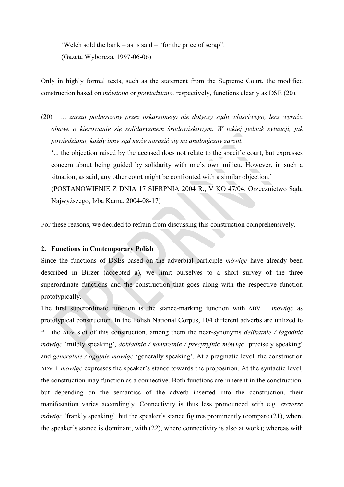'Welch sold the bank – as is said – "for the price of scrap". (Gazeta Wyborcza. 1997-06-06)

Only in highly formal texts, such as the statement from the Supreme Court, the modified construction based on *mówiono* or *powiedziano,* respectively, functions clearly as DSE (20).

(20) *... zarzut podnoszony przez oskarżonego nie dotyczy sądu właściwego, lecz wyraża obawę o kierowanie się solidaryzmem środowiskowym. W takiej jednak sytuacji, jak powiedziano, każdy inny sąd może narazić się na analogiczny zarzut.* 

'... the objection raised by the accused does not relate to the specific court, but expresses concern about being guided by solidarity with one's own milieu. However, in such a situation, as said, any other court might be confronted with a similar objection.'

(POSTANOWIENIE Z DNIA 17 SIERPNIA 2004 R., V KO 47/04. Orzecznictwo Sądu Najwyższego, Izba Karna. 2004-08-17)

For these reasons, we decided to refrain from discussing this construction comprehensively.

## **2. Functions in Contemporary Polish**

Since the functions of DSEs based on the adverbial participle *mówiąc* have already been described in Birzer (accepted a), we limit ourselves to a short survey of the three superordinate functions and the construction that goes along with the respective function prototypically.

The first superordinate function is the stance-marking function with ADV + *mówiąc* as prototypical construction. In the Polish National Corpus, 104 different adverbs are utilized to fill the ADV slot of this construction, among them the near-synonyms *delikatnie / łagodnie mówiąc* 'mildly speaking', *dokładnie / konkretnie / precyzyjnie mówiąc* 'precisely speaking' and *generalnie / ogólnie mówiąc* 'generally speaking'. At a pragmatic level, the construction ADV + *mówiąc* expresses the speaker's stance towards the proposition. At the syntactic level, the construction may function as a connective. Both functions are inherent in the construction, but depending on the semantics of the adverb inserted into the construction, their manifestation varies accordingly. Connectivity is thus less pronounced with e.g. *szczerze mówiąc* 'frankly speaking', but the speaker's stance figures prominently (compare (21), where the speaker's stance is dominant, with (22), where connectivity is also at work); whereas with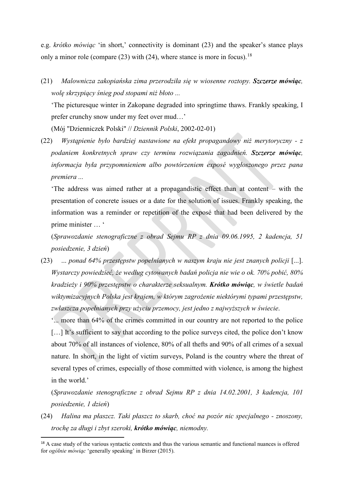e.g. *krótko mówiąc* 'in short,' connectivity is dominant (23) and the speaker's stance plays only a minor role (compare  $(23)$  with  $(24)$ , where stance is more in focus).<sup>[18](#page-15-0)</sup>

(21) *Malownicza zakopiańska zima przerodziła się w wiosenne roztopy. Szczerze mówiąc, wolę skrzypiący śnieg pod stopami niż błoto ...* 

'The picturesque winter in Zakopane degraded into springtime thaws. Frankly speaking, I prefer crunchy snow under my feet over mud…'

(Mój "Dzienniczek Polski" // *Dziennik Polski*, 2002-02-01)

(22) *Wystąpienie było bardziej nastawione na efekt propagandowy niż merytoryczny - z podaniem konkretnych spraw czy terminu rozwiązania zagadnień. Szczerze mówiąc, informacja była przypomnieniem albo powtórzeniem exposé wygłoszonego przez pana premiera ...* 

'The address was aimed rather at a propagandistic effect than at content – with the presentation of concrete issues or a date for the solution of issues. Frankly speaking, the information was a reminder or repetition of the exposé that had been delivered by the prime minister … '

(*Sprawozdanie stenograficzne z obrad Sejmu RP z dnia 09.06.1995, 2 kadencja, 51 posiedzenie, 3 dzień*)

(23) ... *ponad 64% przestępstw popełnianych w naszym kraju nie jest znanych policji* [...]. *Wystarczy powiedzieć, że według cytowanych badań policja nie wie o ok. 70% pobić, 80% kradzieży i 90% przestępstw o charakterze seksualnym. Krótko mówiąc, w świetle badań wiktymizacyjnych Polska jest krajem, w którym zagrożenie niektórymi typami przestępstw, zwłaszcza popełnianych przy użyciu przemocy, jest jedno z najwyższych w świecie*.

'... more than 64% of the crimes committed in our country are not reported to the police [...] It's sufficient to say that according to the police surveys cited, the police don't know about 70% of all instances of violence, 80% of all thefts and 90% of all crimes of a sexual nature. In short, in the light of victim surveys, Poland is the country where the threat of several types of crimes, especially of those committed with violence, is among the highest in the world.'

(*Sprawozdanie stenograficzne z obrad Sejmu RP z dnia 14.02.2001, 3 kadencja, 101 posiedzenie, 1 dzień*)

(24) *Halina ma płaszcz. Taki płaszcz to skarb, choć na pozór nic specjalnego - znoszony, trochę za długi i zbyt szeroki, krótko mówiąc, niemodny.* 

<span id="page-15-0"></span><sup>&</sup>lt;sup>18</sup> A case study of the various syntactic contexts and thus the various semantic and functional nuances is offered for *ogólnie mówiąc* 'generally speaking' in Birzer (2015).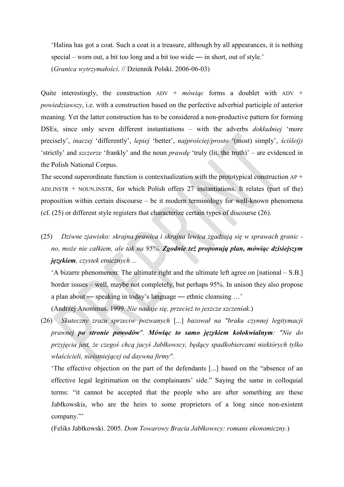'Halina has got a coat. Such a coat is a treasure, although by all appearances, it is nothing special – worn out, a bit too long and a bit too wide — in short, out of style.' (*Granica wytrzymałości*. // Dziennik Polski. 2006-06-03)

Quite interestingly, the construction ADV + *mówiąc* forms a doublet with ADV + *powiedziawszy*, i.e. with a construction based on the perfective adverbial participle of anterior meaning. Yet the latter construction has to be considered a non-productive pattern for forming DSEs, since only seven different instantiations – with the adverbs *dokładniej* 'more precisely', *inaczej* 'differently', *lepiej* 'better', *najprościej/prosto* '(most) simply', *ściśle(j)* 'strictly' and *szczerze* 'frankly' and the noun *prawdę* 'truly (lit. the truth)' – are evidenced in the Polish National Corpus.

The second superordinate function is contextualization with the prototypical construction  $AP +$ ADJ.INSTR + NOUN.INSTR, for which Polish offers 27 instantiations. It relates (part of the) proposition within certain discourse – be it modern terminology for well-known phenomena (cf. (25) or different style registers that characterize certain types of discourse (26).

(25) *Dziwne zjawisko: skrajna prawica i skrajna lewica zgadzają się w sprawach granic no, może nie całkiem, ale tak na 95%. Zgodnie też proponują plan, mówiąc dzisiejszym językiem, czystek etnicznych ...*

'A bizarre phenomenon: The ultimate right and the ultimate left agree on [national – S.B.] border issues – well, maybe not completely, but perhaps 95%. In unison they also propose a plan about — speaking in today's language — ethnic cleansing …'

(Andrzej Anonimus. 1999. *Nie nadaje się, przecież to jeszcze szczeniak*.)

(26) *Skuteczny zrazu sprzeciw pozwanych* [...] *bazował na "braku czynnej legitymacji prawnej po stronie powodów". Mówiąc to samo językiem kolokwialnym: "Nie do przyjęcia jest, że czegoś chcą jacyś Jabłkowscy, będący spadkobiercami niektórych tylko właścicieli, nieistniejącej od daywna firmy".* 

'The effective objection on the part of the defendants [...] based on the "absence of an effective legal legitimation on the complainants' side." Saying the same in colloquial terms: "it cannot be accepted that the people who are after something are these Jabłkowskis, who are the heirs to some proprietors of a long since non-existent company."'

(Feliks Jabłkowski. 2005. *Dom Towarowy Bracia Jabłkowscy: romans ekonomiczny*.)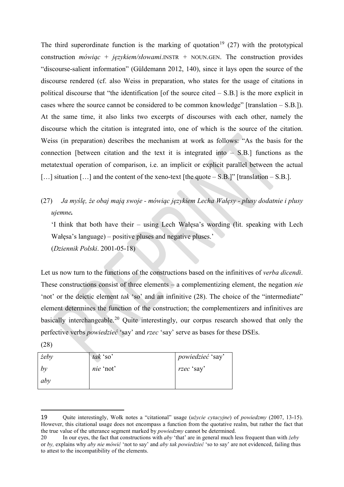The third superordinate function is the marking of quotation<sup>[19](#page-17-0)</sup> (27) with the prototypical construction *mówiąc* + *językiem/słowami*.INSTR + NOUN.GEN. The construction provides "discourse-salient information" (Güldemann 2012, 140), since it lays open the source of the discourse rendered (cf. also Weiss in preparation, who states for the usage of citations in political discourse that "the identification [of the source cited – S.B.] is the more explicit in cases where the source cannot be considered to be common knowledge" [translation – S.B.]). At the same time, it also links two excerpts of discourses with each other, namely the discourse which the citation is integrated into, one of which is the source of the citation. Weiss (in preparation) describes the mechanism at work as follows: "As the basis for the connection [between citation and the text it is integrated into – S.B.] functions as the metatextual operation of comparison, i.e. an implicit or explicit parallel between the actual [...] situation [...] and the content of the xeno-text [the quote – S.B.]" [translation – S.B.].

(27) *Ja myślę, że obaj mają swoje - mówiąc językiem Lecha Wałęsy - plusy dodatnie i plusy ujemne.* 

'I think that both have their – using Lech Wałęsa's wording (lit. speaking with Lech Wałęsa's language) – positive pluses and negative pluses.' (*Dziennik Polski*. 2001-05-18)

Let us now turn to the functions of the constructions based on the infinitives of *verba dicendi*. These constructions consist of three elements – a complementizing element, the negation *nie* 'not' or the deictic element *tak* 'so' and an infinitive (28). The choice of the "intermediate" element determines the function of the construction; the complementizers and infinitives are basically interchangeable.<sup>[20](#page-17-1)</sup> Ouite interestingly, our corpus research showed that only the perfective verbs *powiedzieć* 'say' and *rzec* 'say' serve as bases for these DSEs. (28)

| $\dot{z}e$ by | tak 'so'  | powiedzieć 'say' |
|---------------|-----------|------------------|
| by            | nie 'not' | rzec 'say'       |
| aby           |           |                  |

<span id="page-17-0"></span><sup>19</sup> Quite interestingly, Wołk notes a "citational" usage (*użycie cytacyjne*) of *powiedzmy* (2007, 13-15). However, this citational usage does not encompass a function from the quotative realm, but rather the fact that the true value of the utterance segment marked by *powiedzmy* cannot be determined.

<span id="page-17-1"></span><sup>20</sup> In our eyes, the fact that constructions with *aby* 'that' are in general much less frequent than with *żeby* or *by,* explains why *aby nie mówić* 'not to say' and *aby tak powiedzieć* 'so to say' are not evidenced, failing thus to attest to the incompatibility of the elements.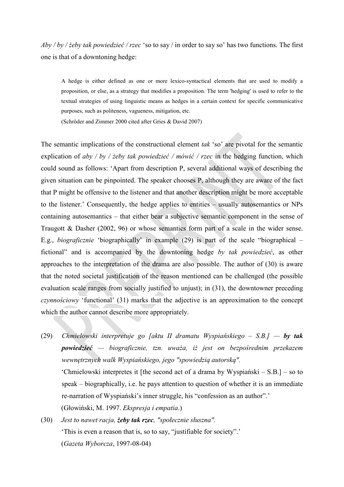*Aby / by / żeby tak powiedzieć / rzec* 'so to say / in order to say so' has two functions. The first one is that of a downtoning hedge:

A hedge is either defined as one or more lexico-syntactical elements that are used to modify a proposition, or else, as a strategy that modifies a proposition. The term 'hedging' is used to refer to the textual strategies of using linguistic means as hedges in a certain context for specific communicative purposes, such as politeness, vagueness, mitigation, etc.

(Schröder and Zimmer 2000 cited after Gries & David 2007)

The semantic implications of the constructional element *tak* 'so' are pivotal for the semantic explication of *aby / by / żeby tak powiedzieć / mówić / rzec* in the hedging function, which could sound as follows: 'Apart from description P, several additional ways of describing the given situation can be pinpointed. The speaker chooses P, although they are aware of the fact that P might be offensive to the listener and that another description might be more acceptable to the listener.' Consequently, the hedge applies to entities – usually autosemantics or NPs containing autosemantics – that either bear a subjective semantic component in the sense of Traugott & Dasher (2002, 96) or whose semantics form part of a scale in the wider sense. E.g., *biograficznie* 'biographically' in example (29) is part of the scale "biographical – fictional" and is accompanied by the downtoning hedge *by tak powiedzieć*, as other approaches to the interpretation of the drama are also possible. The author of (30) is aware that the noted societal justification of the reason mentioned can be challenged (the possible evaluation scale ranges from socially justified to unjust); in (31), the downtowner preceding *czynnościowy* 'functional' (31) marks that the adjective is an approximation to the concept which the author cannot describe more appropriately.

- (29) *Chmielowski interpretuje go [aktu II dramatu Wyspiańskiego S.B.] by tak powiedzieć — biograficznie, tzn. uważa, iż jest on bezpośrednim przekazem wewnętrznych walk Wyspiańskiego, jego "spowiedzią autorską".* 'Chmielowski interpretes it [the second act of a drama by Wyspiański – S.B.] – so to speak – biographically, i.e. he pays attention to question of whether it is an immediate re-narration of Wyspiański's inner struggle, his "confession as an author".' (Głowiński, M. 1997. *Ekspresja i empatia*.)
- (30) *Jest to nawet racja, żeby tak rzec, "społecznie słuszna".*  'This is even a reason that is, so to say, "justifiable for society".' (*Gazeta Wyborcza*, 1997-08-04)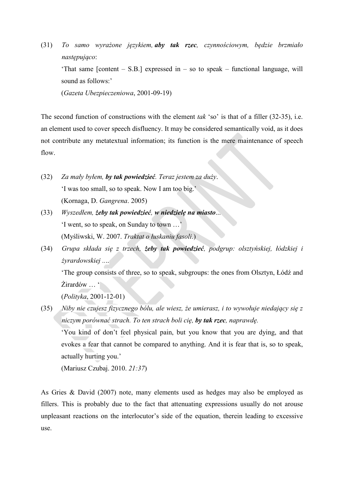(31) *To samo wyrażone językiem, aby tak rzec, czynnościowym, będzie brzmiało następująco*: 'That same  $[content - S.B.]$  expressed in  $-$  so to speak  $-$  functional language, will sound as follows:' (*Gazeta Ubezpieczeniowa*, 2001-09-19)

The second function of constructions with the element *tak* 'so' is that of a filler (32-35), i.e. an element used to cover speech disfluency. It may be considered semantically void, as it does not contribute any metatextual information; its function is the mere maintenance of speech flow.

- (32) *Za mały byłem, by tak powiedzieć. Teraz jestem za duży*. 'I was too small, so to speak. Now I am too big.' (Kornaga, D. *Gangrena*. 2005)
- (33) *Wyszedłem, żeby tak powiedzieć, w niedzielę na miasto*... 'I went, so to speak, on Sunday to town …' (Myśliwski, W. 2007. *Traktat o łuskaniu fasoli*.)
- (34) *Grupa składa się z trzech, żeby tak powiedzieć, podgrup: olsztyńskiej, łódzkiej i żyrardowskiej ..*..

'The group consists of three, so to speak, subgroups: the ones from Olsztyn, Łódź and Żirardów … '

(*Polityka*, 2001-12-01)

(35) *Niby nie czujesz fizycznego bólu, ale wiesz, że umierasz, i to wywołuje niedający się z niczym porównać strach. To ten strach boli cię, by tak rzec, naprawdę.*  'You kind of don't feel physical pain, but you know that you are dying, and that evokes a fear that cannot be compared to anything. And it is fear that is, so to speak, actually hurting you.'

(Mariusz Czubaj. 2010. *21:37*)

As Gries & David (2007) note, many elements used as hedges may also be employed as fillers. This is probably due to the fact that attenuating expressions usually do not arouse unpleasant reactions on the interlocutor's side of the equation, therein leading to excessive use.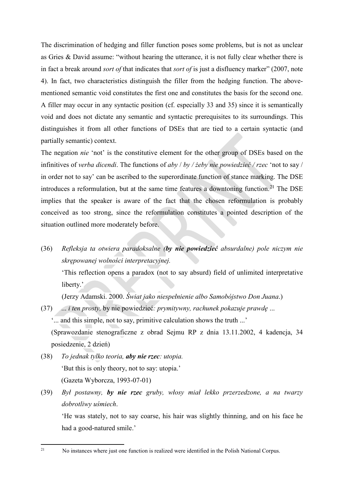The discrimination of hedging and filler function poses some problems, but is not as unclear as Gries & David assume: "without hearing the utterance, it is not fully clear whether there is in fact a break around *sort of* that indicates that *sort of* is just a disfluency marker" (2007, note 4). In fact, two characteristics distinguish the filler from the hedging function. The abovementioned semantic void constitutes the first one and constitutes the basis for the second one. A filler may occur in any syntactic position (cf. especially 33 and 35) since it is semantically void and does not dictate any semantic and syntactic prerequisites to its surroundings. This distinguishes it from all other functions of DSEs that are tied to a certain syntactic (and partially semantic) context.

The negation *nie* 'not' is the constitutive element for the other group of DSEs based on the infinitives of *verba dicendi*. The functions of *aby* / *by / żeby nie powiedzieć / rzec* 'not to say / in order not to say' can be ascribed to the superordinate function of stance marking. The DSE introduces a reformulation, but at the same time features a downtoning function.<sup>[21](#page-20-0)</sup> The DSE implies that the speaker is aware of the fact that the chosen reformulation is probably conceived as too strong, since the reformulation constitutes a pointed description of the situation outlined more moderately before.

(36) *Refleksja ta otwiera paradoksalne (by nie powiedzieć absurdalne) pole niczym nie skrępowanej wolności interpretacyjnej.* 

'This reflection opens a paradox (not to say absurd) field of unlimited interpretative liberty.'

(Jerzy Adamski. 2000. *Świat jako niespełnienie albo Samobójstwo Don Juana*.)

(37) ... *i ten prosty,* by nie powiedzieć*: prymitywny, rachunek pokazuje prawdę* ...

'... and this simple, not to say, primitive calculation shows the truth ...'

(Sprawozdanie stenograficzne z obrad Sejmu RP z dnia 13.11.2002, 4 kadencja, 34 posiedzenie, 2 dzień)

- (38) *To jednak tylko teoria, aby nie rzec: utopia.*  'But this is only theory, not to say: utopia.' (Gazeta Wyborcza, 1993-07-01)
- (39) *Był postawny, by nie rzec gruby, włosy miał lekko przerzedzone, a na twarzy dobrotliwy uśmiech*.

'He was stately, not to say coarse, his hair was slightly thinning, and on his face he had a good-natured smile.'

<span id="page-20-0"></span>21

<sup>21</sup> No instances where just one function is realized were identified in the Polish National Corpus.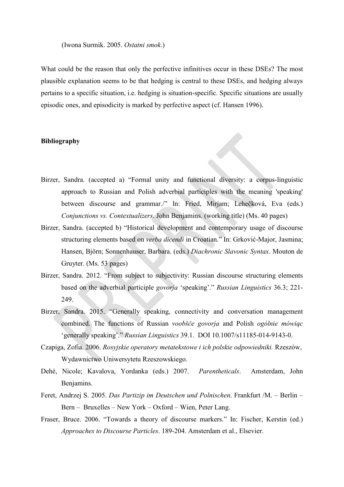#### (Iwona Surmik. 2005. *Ostatni smok*.)

What could be the reason that only the perfective infinitives occur in these DSEs? The most plausible explanation seems to be that hedging is central to these DSEs, and hedging always pertains to a specific situation, i.e. hedging is situation-specific. Specific situations are usually episodic ones, and episodicity is marked by perfective aspect (cf. Hansen 1996).

### **Bibliography**

- Birzer, Sandra. (accepted a) "Formal unity and functional diversity: a corpus-linguistic approach to Russian and Polish adverbial participles with the meaning 'speaking' between discourse and grammar./" In: Fried, Mirjam; Lehečková, Eva (eds.) *Conjunctions vs. Contextualizers*. John Benjamins. (working title) (Ms. 40 pages)
- Birzer, Sandra. (accepted b) "Historical development and contemporary usage of discourse structuring elements based on *verba dicendi* in Croatian." In: Grković-Major, Jasmina; Hansen, Björn; Sonnenhauser, Barbara. (eds.) *Diachronic Slavonic Syntax*. Mouton de Gruyter. (Ms. 53 pages)
- Birzer, Sandra. 2012. "From subject to subjectivity: Russian discourse structuring elements based on the adverbial participle *govorja* 'speaking'." *Russian Linguistics* 36.3; 221- 249.
- Birzer, Sandra. 2015. "Generally speaking, connectivity and conversation management combined. The functions of Russian *voobšče govorja* and Polish *ogólnie mówiąc* 'generally speaking'." *Russian Linguistics* 39.1. DOI 10.1007/s11185-014-9143-0.
- Czapiga, Zofia. 2006. *Rosyjskie operatory metatekstowe i ich polskie odpowiedniki.* Rzeszów, Wydawnictwo Uniwersytetu Rzeszowskiego.
- Dehé, Nicole; Kavalova, Yordanka (eds.) 2007. *Parentheticals*. Amsterdam, John Benjamins.
- Feret, Andrzej S. 2005. *Das Partizip im Deutschen und Polnischen*. Frankfurt /M. Berlin Bern – Bruxelles – New York – Oxford – Wien, Peter Lang.
- Fraser, Bruce. 2006. "Towards a theory of discourse markers." In: Fischer, Kerstin (ed.) *Approaches to Discourse Particles*. 189-204. Amsterdam et al., Elsevier.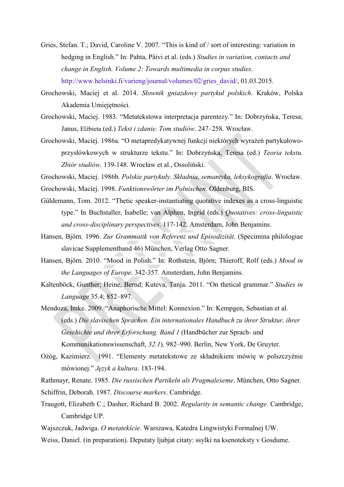- Gries, Stefan. T.; David, Caroline V. 2007. "This is kind of / sort of interesting: variation in hedging in English." In: Pahta, Päivi et al. (eds.) *Studies in variation, contacts and change in English. Volume 2: Towards multimedia in corpus studies*. [http://www.helsinki.fi/varieng/journal/volumes/02/gries\\_david/,](http://www.helsinki.fi/varieng/journal/volumes/02/gries_david/) 01.03.2015.
- Grochowski, Maciej et al. 2014. *Słownik gniazdowy partykuł polskich*. Kraków, Polska Akademia Umiejętności.
- Grochowski, Maciej. 1983. "Metatekstowa interpretacja parentezy." In: Dobrzyńska, Teresa; Janus, Elżbieta (ed.) *Tekst i zdanie. Tom studiów*. 247–258. Wrocław.
- Grochowski, Maciej. 1986a. "O metapredykatywnej funkcji niektórych wyrażeń partykułowoprzysłówkowych w strukturze tekstu." In: Dobrzyńska, Teresa (ed.) *Teoria tekstu. Zbiór studiów*. 139-148. Wrocław et al., Ossoliński.

Grochowski, Maciej. 1986b. *Polskie partykuły. Składnia, semantyka, leksykografia*. Wrocław.

- Grochowski, Maciej. 1998. *Funktionswörter im Polnischen*. Oldenburg, BIS.
- Güldemann, Tom. 2012. "Thetic speaker-instantiating quotative indexes as a cross-linguistic type." In Buchstaller, Isabelle; van Alphen, Ingrid (eds.) *Quotatives: cross-linguistic and cross-disciplinary perspectives*. 117-142. Amsterdam, John Benjamins.
- Hansen, Björn. 1996. *Zur Grammatik von Referenz und Episodizität*. (Specimina philologiae slavicae Supplementband 46) München, Verlag Otto Sagner.
- Hansen, Björn. 2010. "Mood in Polish." In: Rothstein, Björn; Thieroff, Rolf (eds.) *Mood in the Languages of Europe*. 342-357. Amsterdam, John Benjamins.
- Kaltenböck, Gunther; Heine, Bernd; Kuteva, Tanja. 2011. "On thetical grammar." *Studies in Language* 35.4; 852–897.
- Mendoza, Imke. 2009. "Anaphorische Mittel: Konnexion." In: Kempgen, Sebastian et al. (eds.) *Die slavischen Sprachen. Ein internationales Handbuch zu ihrer Struktur, ihrer Geschichte und ihrer Erforschung. Band 1* (Handbücher zur Sprach- und Kommunikationswissenschaft, *32.1*). 982–990. Berlin, New York, De Gruyter.
- Ożóg, Kazimierz. 1991. "Elementy metatekstowe ze składnikiem mówię w polszczyźnie mówionej." *Język a kultura*. 183-194.

Rathmayr, Renate. 1985. *Die russischen Partikeln als Pragmalexeme*. München, Otto Sagner.

- Schiffrin, Deborah. 1987. *Discourse markers*. Cambridge.
- Traugott, Elizabeth C.; Dasher, Richard B. 2002. *Regularity in semantic change*. Cambridge, Cambridge UP.
- Wajszczuk, Jadwiga. *O metatekście*. Warszawa, Katedra Lingwistyki Formalnej UW.
- Weiss, Daniel. (in preparation). Dеputаty ljubjat citаty: ssylki nа ksеnоtеksty v Gоsdumе.